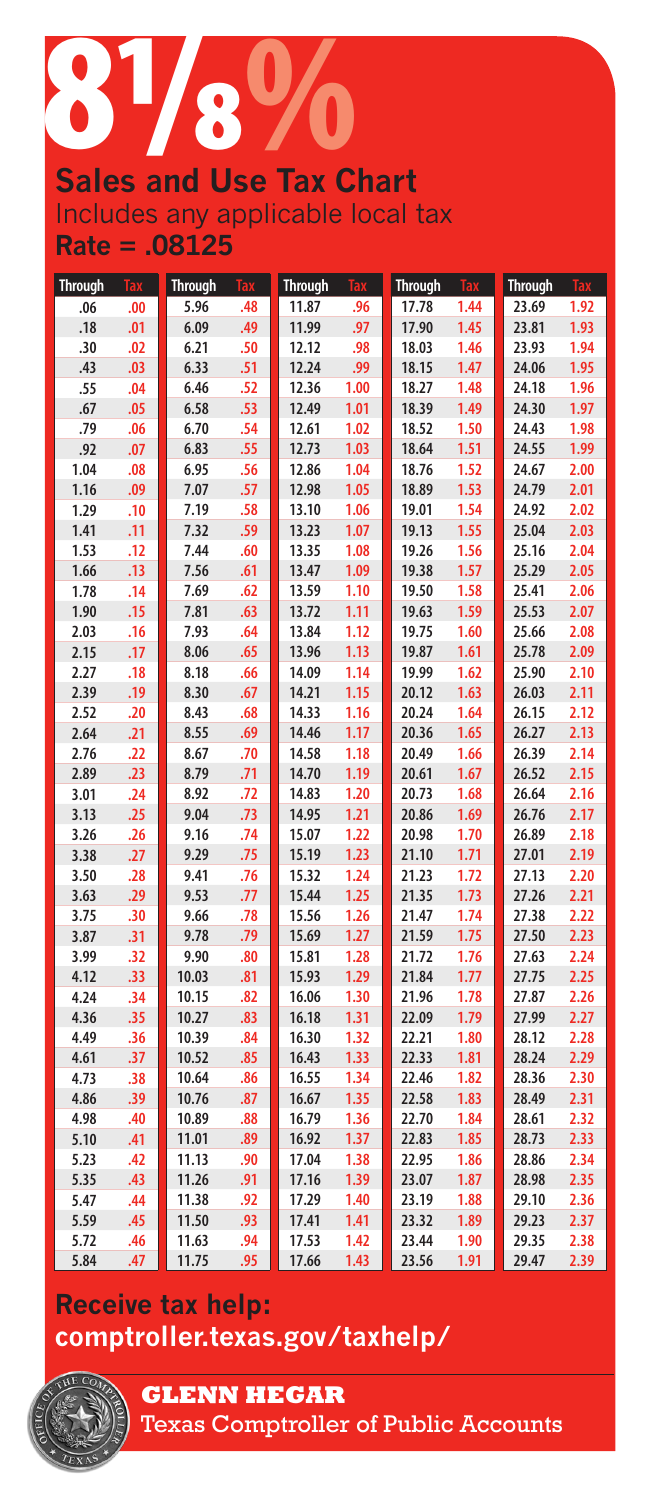# **Sales and Use Tax Chart**

Includes any applicable local tax **Rate = .08125**

| <b>Through</b> | <b>Tax</b> | <b>Through</b> | <b>Tax</b> | <b>Through</b> | <b>Tax</b>   | <b>Through</b> | <b>Tax</b> | <b>Through</b> | <b>Tax</b>   |
|----------------|------------|----------------|------------|----------------|--------------|----------------|------------|----------------|--------------|
| .06            | .00        | 5.96           | .48        | 11.87          | .96          | 17.78          | 1.44       | 23.69          | 1.92         |
| .18            | .01        | 6.09           | .49        | 11.99          | .97          | 17.90          | 1.45       | 23.81          | 1.93         |
| .30            | .02        | 6.21           | .50        | 12.12          | .98          | 18.03          | 1.46       | 23.93          | 1.94         |
| .43            | .03        | 6.33           | .51        | 12.24          | .99          | 18.15          | 1.47       | 24.06          | 1.95         |
| .55            | .04        | 6.46           | .52        | 12.36          | 1.00         | 18.27          | 1.48       | 24.18          | 1.96         |
| .67            | .05        | 6.58           | .53        | 12.49          | 1.01         | 18.39          | 1.49       | 24.30          | 1.97         |
| .79            | .06        | 6.70           | .54        | 12.61          | 1.02         | 18.52          | 1.50       | 24.43          | 1.98         |
| .92            | .07        | 6.83           | .55        | 12.73          | 1.03         | 18.64          | 1.51       | 24.55          | 1.99         |
| 1.04           | .08        | 6.95           | .56        | 12.86          | 1.04         | 18.76          | 1.52       | 24.67          | 2.00         |
| 1.16           | .09        | 7.07           | .57        | 12.98          | 1.05         | 18.89          | 1.53       | 24.79          | 2.01         |
| 1.29           | .10        | 7.19           | .58        | 13.10          | 1.06         | 19.01          | 1.54       | 24.92          | 2.02         |
| 1.41           | .11        | 7.32           | .59        | 13.23          | 1.07         | 19.13          | 1.55       | 25.04          | 2.03         |
| 1.53           | .12        | 7.44           | .60        | 13.35          | 1.08         | 19.26          | 1.56       | 25.16          | 2.04         |
| 1.66           | .13        | 7.56           | .61        | 13.47          | 1.09         | 19.38          | 1.57       | 25.29          | 2.05         |
| 1.78           | .14        | 7.69           | .62        | 13.59          | 1.10         | 19.50          | 1.58       | 25.41          | 2.06         |
| 1.90           | .15        | 7.81           | .63        | 13.72          | 1.11         | 19.63          | 1.59       | 25.53          | 2.07         |
| 2.03           | .16        | 7.93           | .64        | 13.84          | 1.12         | 19.75          | 1.60       | 25.66          | 2.08         |
| 2.15           | .17        | 8.06           | .65        | 13.96          | 1.13         | 19.87          | 1.61       | 25.78          | 2.09         |
| 2.27           | .18        | 8.18           | .66        | 14.09          | 1.14         | 19.99          | 1.62       | 25.90          | 2.10         |
| 2.39           | .19        | 8.30           | .67        | 14.21          | 1.15         | 20.12          | 1.63       | 26.03          | 2.11         |
| 2.52           | .20        | 8.43           | .68        | 14.33          | 1.16         | 20.24          | 1.64       | 26.15          | 2.12         |
| 2.64           | .21        | 8.55           | .69        | 14.46          | 1.17         | 20.36          | 1.65       | 26.27          | 2.13         |
| 2.76           | .22        | 8.67           | .70        | 14.58          | 1.18         | 20.49          | 1.66       | 26.39          | 2.14         |
| 2.89           | .23        | 8.79           | .71        | 14.70          | 1.19         | 20.61          | 1.67       | 26.52          | 2.15         |
| 3.01           | .24        | 8.92           | .72        | 14.83          | 1.20         | 20.73          | 1.68       | 26.64          | 2.16         |
| 3.13           | .25        | 9.04           | .73        | 14.95          | 1.21         | 20.86          | 1.69       | 26.76          | 2.17         |
| 3.26           | .26        | 9.16           | .74        | 15.07          | 1.22         | 20.98          | 1.70       | 26.89          | 2.18         |
| 3.38           | .27        | 9.29           | .75        | 15.19          | 1.23         | 21.10          | 1.71       | 27.01          | 2.19         |
| 3.50           | .28        | 9.41           | .76        | 15.32          | 1.24         | 21.23          | 1.72       | 27.13          | 2.20         |
| 3.63           | .29        | 9.53           | .77        | 15.44          | 1.25         | 21.35          | 1.73       | 27.26          | 2.21         |
| 3.75           | .30        | 9.66           | .78        | 15.56          | 1.26         | 21.47          | 1.74       | 27.38          | 2.22         |
| 3.87           | .31        | 9.78           | .79        | 15.69          | 1.27         | 21.59          | 1.75       | 27.50          | 2.23         |
| 3.99           | .32        | 9.90           | .80        | 15.81          | 1.28         | 21.72          | 1.76       | 27.63          | 2.24         |
| 4.12           | .33        | 10.03          | .81        | 15.93          | 1.29         | 21.84          | 1.77       | 27.75          | 2.25         |
| 4.24           | .34        | 10.15          | .82        | 16.06          | 1.30         | 21.96          | 1.78       | 27.87          | 2.26         |
| 4.36           | .35        | 10.27          | .83        | 16.18          | 1.31         | 22.09          | 1.79       | 27.99          | 2.27         |
| 4.49           | .36        | 10.39          | .84        | 16.30          | 1.32         | 22.21          | 1.80       | 28.12          | 2.28         |
| 4.61           | .37        | 10.52          | .85        | 16.43          | 1.33         | 22.33          | 1.81       | 28.24          | 2.29         |
| 4.73           | .38        | 10.64          | .86        | 16.55          | 1.34         | 22.46          | 1.82       | 28.36          | 2.30         |
| 4.86           | .39        | 10.76          | .87        | 16.67          | 1.35         | 22.58          | 1.83       | 28.49          | 2.31         |
| 4.98           | .40        | 10.89          | .88        | 16.79          | 1.36         | 22.70          | 1.84       | 28.61          | 2.32         |
| 5.10           | .41        | 11.01          | .89        | 16.92          | 1.37         | 22.83          | 1.85       | 28.73          | 2.33         |
| 5.23           | .42        | 11.13          | .90        | 17.04          | 1.38         | 22.95          | 1.86       | 28.86          | 2.34         |
| 5.35           | .43        | 11.26          | .91        | 17.16          | 1.39         | 23.07          | 1.87       | 28.98          | 2.35         |
| 5.47<br>5.59   | .44<br>.45 | 11.38          | .92        | 17.29          | 1.40         | 23.19          | 1.88       | 29.10          | 2.36<br>2.37 |
|                | .46        | 11.50          | .93<br>.94 | 17.41<br>17.53 | 1.41<br>1.42 | 23.32<br>23.44 | 1.89       | 29.23<br>29.35 | 2.38         |
| 5.72           |            | 11.63          |            |                |              |                | 1.90       |                |              |
| 5.84           | .47        | 11.75          | .95        | 17.66          | 1.43         | 23.56          | 1.91       | 29.47          | 2.39         |

# **Receive tax help: comptroller.texas.gov/taxhelp/**



**GLENN HEGAR**  Texas Comptroller of Public Accounts